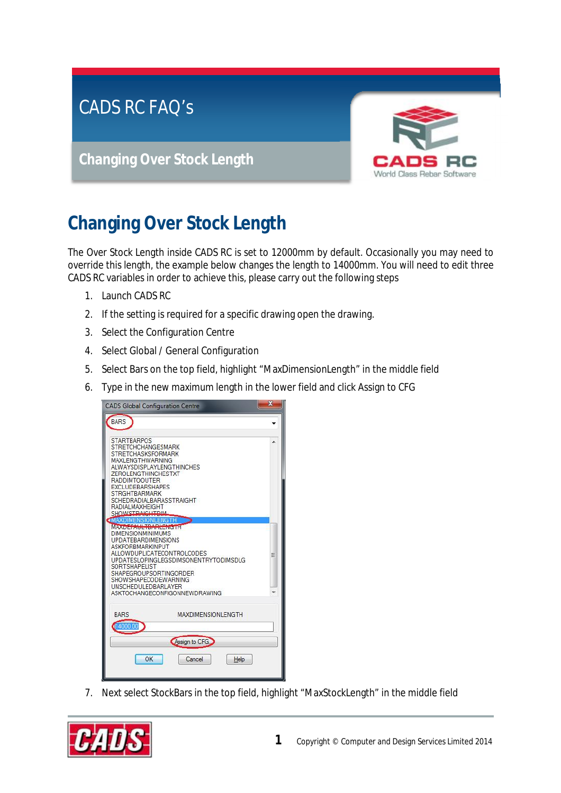## CADS RC FAQ's

**Changing Over Stock Length**



## **Changing Over Stock Length**

The Over Stock Length inside CADS RC is set to 12000mm by default. Occasionally you may need to override this length, the example below changes the length to 14000mm. You will need to edit three CADS RC variables in order to achieve this, please carry out the following steps

- 1. Launch CADS RC
- 2. If the setting is required for a specific drawing open the drawing.
- 3. Select the Configuration Centre
- 4. Select Global / General Configuration
- 5. Select Bars on the top field, highlight "MaxDimensionLength" in the middle field
- 6. Type in the new maximum length in the lower field and click Assign to CFG



7. Next select StockBars in the top field, highlight "MaxStockLength" in the middle field

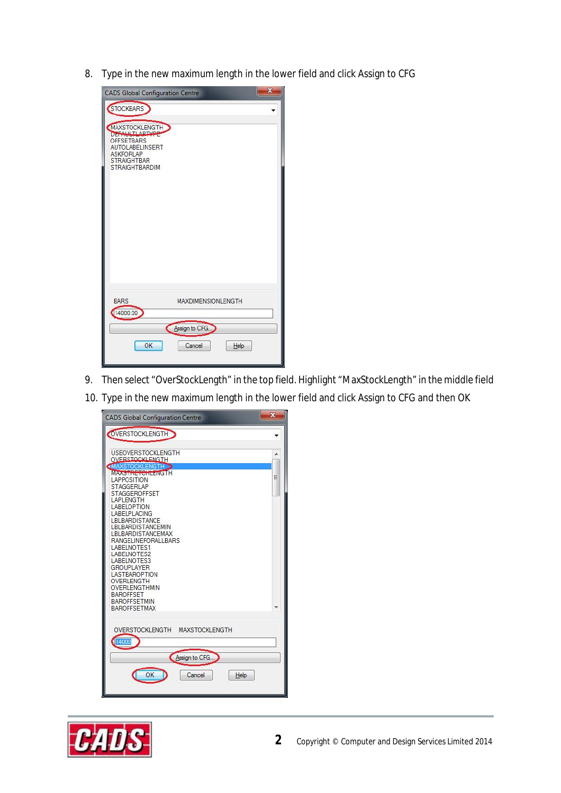8. Type in the new maximum length in the lower field and click Assign to CFG

| $\mathbf x$<br><b>CADS Global Configuration Centre</b>                                                                                               |
|------------------------------------------------------------------------------------------------------------------------------------------------------|
| <b>STOCKBARS</b><br>MAXSTOCKLENGTH<br><b>OFFSETBARS</b><br><b>AUTOLABELINSERT</b><br><b>ASKFORLAP</b><br><b>STRAIGHTBAR</b><br><b>STRAIGHTBARDIM</b> |
| <b>BARS</b><br><b>MAXDIMENSIONLENGTH</b><br>14000.00                                                                                                 |
| Assign to CFG                                                                                                                                        |
| OK<br>Cancel<br>Help                                                                                                                                 |

- 9. Then select "OverStockLength" in the top field. Highlight "MaxStockLength" in the middle field
- 10. Type in the new maximum length in the lower field and click Assign to CFG and then OK

| <b>CADS Global Configuration Centre</b>         | $\mathbf{x}$ |
|-------------------------------------------------|--------------|
| OVERSTOCKLENGTH                                 |              |
| <b>USEOVERSTOCKLENGTH</b>                       |              |
| <b>OVERSTOCKLENGTH</b><br><b>MAXSTOCKLENGTH</b> |              |
| MAX STATE TO HEANGTH<br><b>LAPPOSITION</b>      | Ξ            |
| <b>STAGGERLAP</b><br><b>STAGGEROFFSET</b>       |              |
| <b>LAPLENGTH</b>                                |              |
| <b>LABELOPTION</b><br>LABELPLACING              |              |
| LBLBARDISTANCE<br>LBLBARDISTANCEMIN             |              |
| LBLBARDISTANCEMAX                               |              |
| <b>RANGELINEFORALLBARS</b><br>LABELNOTES1       |              |
| LABELNOTES2                                     |              |
| LABELNOTES3<br><b>GROUPLAYER</b>                |              |
| <b>LASTBAROPTION</b><br>OVERLENGTH              |              |
| OVERLENGTHMIN                                   |              |
| <b>BAROFFSET</b><br><b>BAROFFSETMIN</b>         |              |
| <b>BAROFFSETMAX</b>                             |              |
|                                                 |              |
| OVERSTOCKLENGTH MAXSTOCKLENGTH                  |              |
| 14000                                           |              |
| Assign to CFG                                   |              |
|                                                 |              |
| OK<br>Cancel<br>Help                            |              |
|                                                 |              |
|                                                 |              |